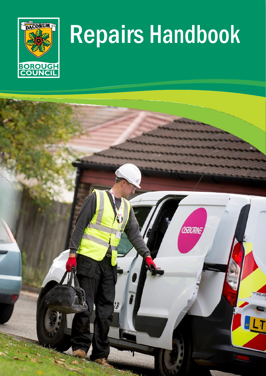

# Repairs Handbook

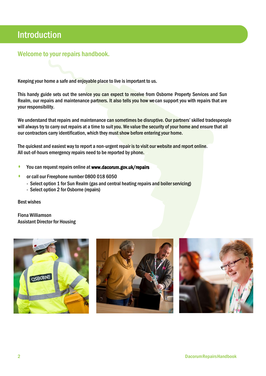# Introduction

### Welcome to your repairs handbook.

Keeping your home a safe and enjoyable place to live is important to us.

This handy guide sets out the service you can expect to receive from Osborne Property Services and Sun Realm, our repairs and maintenance partners. It also tells you how we can support you with repairs that are your responsibility.

We understand that repairs and maintenance can sometimes be disruptive. Our partners' skilled tradespeople will always try to carry out repairs at a time to suit you. We value the security of your home and ensure that all our contractors carry identification, which they must show before entering your home.

The quickest and easiest way to report a non-urgent repair is to visit our website and report online. All out-of-hours emergency repairs need to be reported by phone.

- You can request repairs online a[t www.dacorum.gov.uk/repairs](http://www.dacorum.gov.uk/repairs)
- **or call our Freephone number 0800 018 6050** 
	- Select option 1 for Sun Realm (gas and central heating repairs and boiler servicing)
	- Select option 2 for Osborne (repairs)

Best wishes

Fiona Williamson Assistant Director for Housing





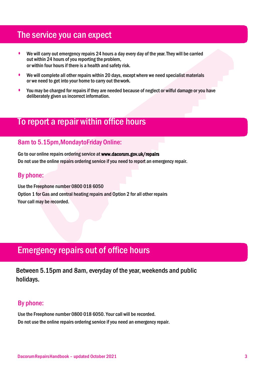## The service you can expect

- We will carry out emergency repairs 24 hours a day every day of the year. They will be carried out within 24 hours of you reporting the problem, or within four hours if there is a health and safety risk.
- We will complete all other repairs within 20 days, except where we need specialist materials or we need to get into your home to carry out thework.
- You may be charged for repairs if they are needed because of neglect or wilful damage or you have deliberately given us incorrect information.

### To report a repair within office hours

### 8am to 5.15pm,MondaytoFriday Online:

Go to our online repairs ordering service at [www.dacorum.gov.uk/repairs](http://www.dacorum.gov.uk/repairs) Do not use the online repairs ordering service if you need to report an emergency repair.

### By phone:

Use the Freephone number 0800 018 6050 Option 1 for Gas and central heating repairs and Option 2 for all other repairs Your call may be recorded.

# Emergency repairs out of office hours

Between 5.15pm and 8am, everyday of the year, weekends and public holidays.

### By phone:

Use the Freephone number 0800 018 6050. Your call will be recorded. Do not use the online repairs ordering service if you need an emergency repair.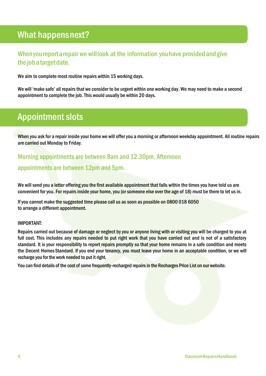# What happensnext?

### Whenyou report a repair we will look at the information you have provided and give the job a target date.

We aim to complete most routine repairs within 15 working days.

We will 'make safe' all repairs that we consider to be urgent within one working day. We may need to make a second appointment to complete the job. This would usually be within 20 days.

# Appointment slots

When you ask for a repair inside your home we will offer you a morning or afternoon weekday appointment. All routine repairs are carried out Monday to Friday.

# Morning appointments are between 8am and 12.30pm. Afternoon

### appointments are between 12pm and 5pm.

We will send you a letter offering you the first available appointment that falls within the times you have told us are convenient for you. For repairs inside your home, you (or someone else over the age of 18) must be there to let us in.

If you cannot make the suggested time please call us as soon as possible on 0800 018 6050 to arrange a different appointment.

#### IMPORTANT:

Repairs carried out because of damage or neglect by you or anyone living with or visiting you will be charged to you at full cost. This includes any repairs needed to put right work that you have carried out and is not of a satisfactory standard. It is your responsibility to report repairs promptly so that your home remains in a safe condition and meets the Decent HomesStandard. If you end your tenancy, you must leave your home in an acceptable condition, or we will recharge you for the work needed to put it right.

You can find details of the cost of some frequently-recharged repairs in the Recharges Price List on our website.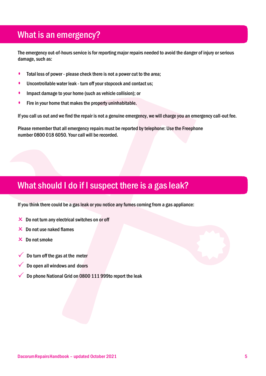# What is an emergency?

The emergency out-of-hours service is for reporting major repairs needed to avoid the danger of injury or serious damage, such as:

- Total loss of power please check there is not a power cut to the area;
- Uncontrollable water leak turn off your stopcock and contact us;
- **•** Impact damage to your home (such as vehicle collision); or
- Fire in your home that makes the property uninhabitable.

If you call us out and we find the repair is not a genuine emergency, we will charge you an emergency call-out fee.

Please remember that all emergency repairs must be reported by telephone: Use the Freephone number 0800 018 6050. Your call will be recorded.

# What should I do if I suspect there is a gas leak?

If you think there could be a gas leak or you notice any fumes coming from a gas appliance:

- $\times$  Do not turn any electrical switches on or off
- $\times$  Do not use naked flames
- $\times$  Do not smoke
- Do turn off the gas at the meter
- Do open all windows and doors
- Do phone National Grid on 0800 111 999to report the leak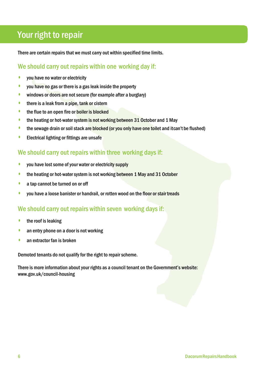# Your right to repair

There are certain repairs that we must carry out within specified time limits.

### We should carry out repairs within one working day if:

- **•** you have no water or electricity
- you have no gas or there is a gas leak inside the property
- windows or doors are not secure (for example after a burglary)
- **•** there is a leak from a pipe, tank or cistern
- **•** the flue to an open fire or boiler is blocked
- the heating or hot-water system is not working between 31 October and 1 May
- the sewage drain or soil stack are blocked (or you only have one toilet and itcan't be flushed)
- **•** Electrical lighting or fittings are unsafe

### We should carry out repairs within three working days if:

- you have lost some of your water or electricity supply
- the heating or hot-water system is not working between 1 May and 31 October
- a tap cannot be turned on or off
- **•** you have a loose banister or handrail, or rotten wood on the floor or stair treads

### We should carry out repairs within seven working days if:

- $\bullet$  the roof is leaking
- an entry phone on a door is not working
- an extractor fan is broken

Demoted tenants do not qualify for the right to repair scheme.

There is more information about your rights as a council tenant on the Government's website: [www.gov.uk/council-housing](http://www.gov.uk/council-housing)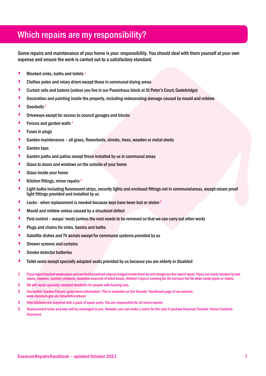# Which repairs are my responsibility?

Some repairs and maintenance of your home is your responsibility. You should deal with them yourself at your own expense and ensure the work is carried out to a satisfactory standard.

- **•** Blocked sinks, baths and toilets <sup>1</sup>
- Clothes poles and rotary driers except those in communal drying areas
- Curtain rails and batons (unless you live in our Passivhaus block at St Peter's Court,Gadebridge)
- Decoration and painting inside the property, including redecorating damage caused by mould and mildew
- Doorbells<sup>2</sup>
- **Driveways except for access to council garages and blocks**
- Fences and garden walls <sup>3</sup>
- Fuses in plugs
- Garden maintenance all grass, flowerbeds, shrubs, trees, wooden or metal sheds
- Garden taps
- Garden paths and patios except those installed by us in communal areas
- Glass to doors and windows on the outside of your home
- Glass inside your home
- **•** Kitchen fittings, minor repairs<sup>4</sup>
- Light bulbs including fluorescent strips, security lights and enclosed fittings not in communalareas, except steam proof light fittings provided and installed by us
- **•** Locks when replacement is needed because keys have been lost or stolen <sup>5</sup>
- Mould and mildew unless caused by a structural defect
- Pest control wasps' nests (unless the nest needs to be removed so that we can carry out other work)
- Plugs and chains for sinks, basins and baths
- Satellite dishes and TV aerials except for communal systems provided by us
- Shower screens and curtains
- Smoke detector batteries
- Toilet seats except specially adapted seats provided by us because you are elderly or disabled
- 1 Ifyou reportblockedwastepipes and we find household objectslodged inside themwewill charge you the cost of repair. Pipes are easily blocked by wet wipes, nappies, sanitary products, excessive amounts of toilet tissue, children's toys or cooking fat. Do not pour hot fat down waste pipes or drains.
- 2 We will repair specially adapted doorbells for people with hearing loss.
- 3 Our leaflet 'Garden Fences' givesmore information.Thisis available on the Tenants' Handbook page of our website: [www.dacorum.gov.uk/tenantshandbook](http://www.dacorum.gov.uk/tenantshandbook)
- 4 New kitchens are supplied with a pack of spare parts. You are responsible for all minor repairs.
- 5 Replacement locks and keys will be recharged to you. However, you can make a claim for the cost if youhave Dacorum Tenants' Home Contents Insurance.